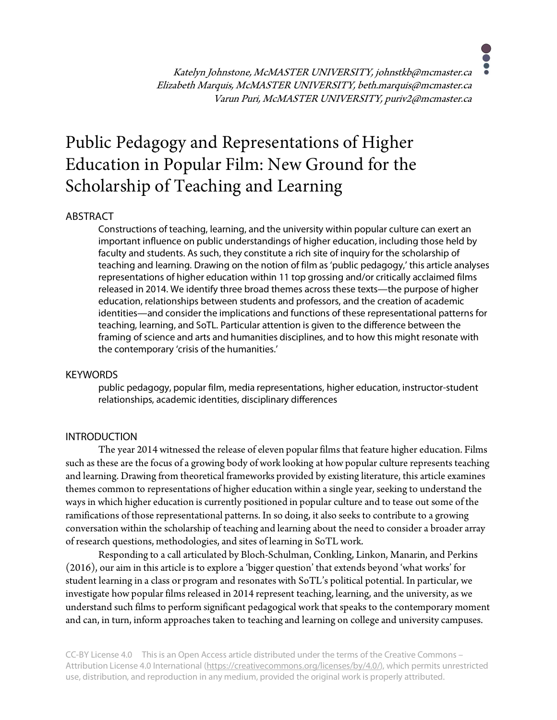Katelyn Johnstone, McMASTER UNIVERSITY, johnstkb@mcmaster.ca Elizabeth Marquis, McMASTER UNIVERSITY, beth.marquis@mcmaster.ca Varun Puri, McMASTER UNIVERSITY, puriv2@mcmaster.ca

# Public Pedagogy and Representations of Higher Education in Popular Film: New Ground for the Scholarship of Teaching and Learning

#### ABSTRACT

Constructions of teaching, learning, and the university within popular culture can exert an important influence on public understandings of higher education, including those held by faculty and students. As such, they constitute a rich site of inquiry for the scholarship of teaching and learning. Drawing on the notion of film as 'public pedagogy,' this article analyses representations of higher education within 11 top grossing and/or critically acclaimed films released in 2014. We identify three broad themes across these texts—the purpose of higher education, relationships between students and professors, and the creation of academic identities—and consider the implications and functions of these representational patterns for teaching, learning, and SoTL. Particular attention is given to the difference between the framing of science and arts and humanities disciplines, and to how this might resonate with the contemporary 'crisis of the humanities.'

#### **KEYWORDS**

public pedagogy, popular film, media representations, higher education, instructor-student relationships, academic identities, disciplinary differences

#### INTRODUCTION

The year 2014 witnessed the release of eleven popular films that feature higher education. Films such as these are the focus of a growing body of work looking at how popular culture represents teaching and learning. Drawing from theoretical frameworks provided by existing literature, this article examines themes common to representations of higher education within a single year, seeking to understand the ways in which higher education is currently positioned in popular culture and to tease out some of the ramifications of those representational patterns. In so doing, it also seeks to contribute to a growing conversation within the scholarship of teaching and learning about the need to consider a broader array of research questions, methodologies, and sites of learning in SoTL work.

Responding to a call articulated by Bloch-Schulman, Conkling, Linkon, Manarin, and Perkins (2016), our aim in this article is to explore a 'bigger question' that extends beyond 'what works' for student learning in a class or program and resonates with SoTL's political potential. In particular, we investigate how popular films released in 2014 represent teaching, learning, and the university, as we understand such films to perform significant pedagogical work that speaks to the contemporary moment and can, in turn, inform approaches taken to teaching and learning on college and university campuses.

CC-BY License 4.0 This is an Open Access article distributed under the terms of the Creative Commons – Attribution License 4.0 International (https://creativecommons.org/licenses/by/4.0/), which permits unrestricted use, distribution, and reproduction in any medium, provided the original work is properly attributed.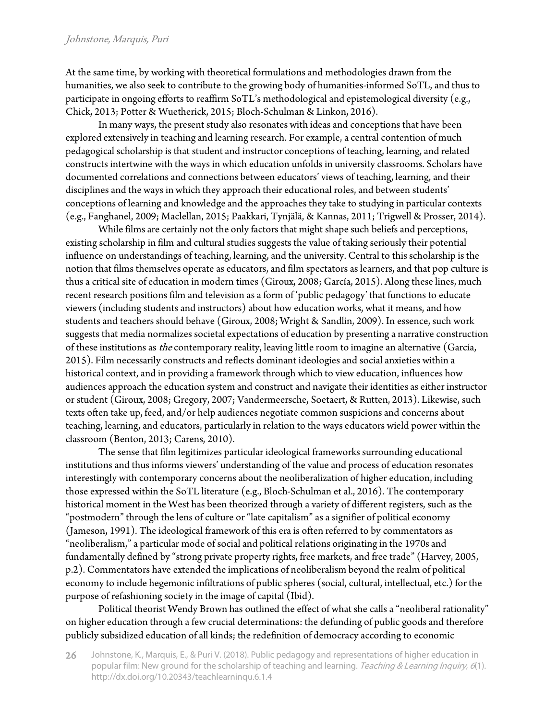#### Johnstone, Marquis, Puri

At the same time, by working with theoretical formulations and methodologies drawn from the humanities, we also seek to contribute to the growing body of humanities-informed SoTL, and thus to participate in ongoing efforts to reaffirm SoTL's methodological and epistemological diversity (e.g., Chick, 2013; Potter & Wuetherick, 2015; Bloch-Schulman & Linkon, 2016).

In many ways, the present study also resonates with ideas and conceptions that have been explored extensively in teaching and learning research. For example, a central contention of much pedagogical scholarship is that student and instructor conceptions of teaching, learning, and related constructs intertwine with the ways in which education unfolds in university classrooms. Scholars have documented correlations and connections between educators' views of teaching, learning, and their disciplines and the ways in which they approach their educational roles, and between students' conceptions of learning and knowledge and the approaches they take to studying in particular contexts (e.g., Fanghanel, 2009; Maclellan, 2015; Paakkari, Tynjälä, & Kannas, 2011; Trigwell & Prosser, 2014).

While films are certainly not the only factors that might shape such beliefs and perceptions, existing scholarship in film and cultural studies suggests the value of taking seriously their potential influence on understandings of teaching, learning, and the university. Central to this scholarship is the notion that films themselves operate as educators, and film spectators as learners, and that pop culture is thus a critical site of education in modern times (Giroux, 2008; García, 2015). Along these lines, much recent research positions film and television as a form of 'public pedagogy' that functions to educate viewers (including students and instructors) about how education works, what it means, and how students and teachers should behave (Giroux, 2008; Wright & Sandlin, 2009). In essence, such work suggests that media normalizes societal expectations of education by presenting a narrative construction of these institutions as the contemporary reality, leaving little room to imagine an alternative (García, 2015). Film necessarily constructs and reflects dominant ideologies and social anxieties within a historical context, and in providing a framework through which to view education, influences how audiences approach the education system and construct and navigate their identities as either instructor or student (Giroux, 2008; Gregory, 2007; Vandermeersche, Soetaert, & Rutten, 2013). Likewise, such texts often take up, feed, and/or help audiences negotiate common suspicions and concerns about teaching, learning, and educators, particularly in relation to the ways educators wield power within the classroom (Benton, 2013; Carens, 2010).

The sense that film legitimizes particular ideological frameworks surrounding educational institutions and thus informs viewers' understanding of the value and process of education resonates interestingly with contemporary concerns about the neoliberalization of higher education, including those expressed within the SoTL literature (e.g., Bloch-Schulman et al., 2016). The contemporary historical moment in the West has been theorized through a variety of different registers, such as the "postmodern" through the lens of culture or "late capitalism" as a signifier of political economy (Jameson, 1991). The ideological framework of this era is often referred to by commentators as "neoliberalism," a particular mode of social and political relations originating in the 1970s and fundamentally defined by "strong private property rights, free markets, and free trade" (Harvey, 2005, p.2). Commentators have extended the implications of neoliberalism beyond the realm of political economy to include hegemonic infiltrations of public spheres (social, cultural, intellectual, etc.) for the purpose of refashioning society in the image of capital (Ibid).

Political theorist Wendy Brown has outlined the effect of what she calls a "neoliberal rationality" on higher education through a few crucial determinations: the defunding of public goods and therefore publicly subsidized education of all kinds; the redefinition of democracy according to economic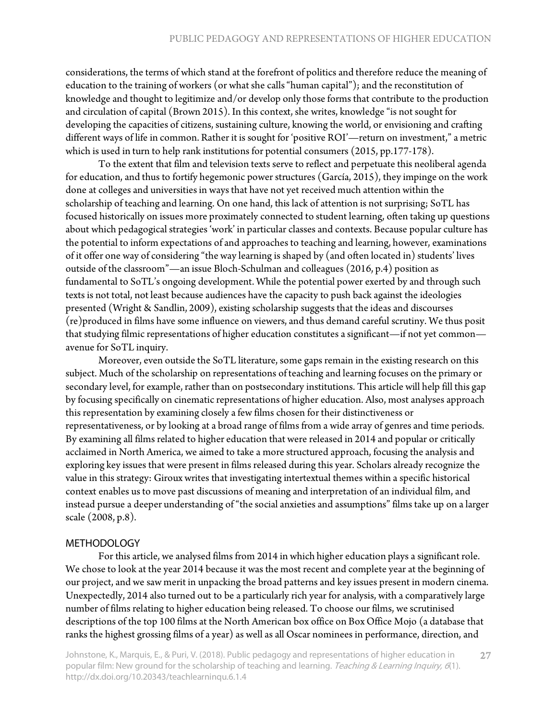considerations, the terms of which stand at the forefront of politics and therefore reduce the meaning of education to the training of workers (or what she calls "human capital"); and the reconstitution of knowledge and thought to legitimize and/or develop only those forms that contribute to the production and circulation of capital (Brown 2015). In this context, she writes, knowledge "is not sought for developing the capacities of citizens, sustaining culture, knowing the world, or envisioning and crafting different ways of life in common. Rather it is sought for 'positive ROI'—return on investment," a metric which is used in turn to help rank institutions for potential consumers (2015, pp.177-178).

To the extent that film and television texts serve to reflect and perpetuate this neoliberal agenda for education, and thus to fortify hegemonic power structures (García, 2015), they impinge on the work done at colleges and universities in ways that have not yet received much attention within the scholarship of teaching and learning. On one hand, this lack of attention is not surprising; SoTL has focused historically on issues more proximately connected to student learning, often taking up questions about which pedagogical strategies 'work' in particular classes and contexts. Because popular culture has the potential to inform expectations of and approaches to teaching and learning, however, examinations of it offer one way of considering "the way learning is shaped by (and often located in) students' lives outside of the classroom"—an issue Bloch-Schulman and colleagues (2016, p.4) position as fundamental to SoTL's ongoing development. While the potential power exerted by and through such texts is not total, not least because audiences have the capacity to push back against the ideologies presented (Wright & Sandlin, 2009), existing scholarship suggests that the ideas and discourses (re)produced in films have some influence on viewers, and thus demand careful scrutiny. We thus posit that studying filmic representations of higher education constitutes a significant—if not yet common avenue for SoTL inquiry.

Moreover, even outside the SoTL literature, some gaps remain in the existing research on this subject. Much of the scholarship on representations of teaching and learning focuses on the primary or secondary level, for example, rather than on postsecondary institutions. This article will help fill this gap by focusing specifically on cinematic representations of higher education. Also, most analyses approach this representation by examining closely a few films chosen for their distinctiveness or representativeness, or by looking at a broad range of films from a wide array of genres and time periods. By examining all films related to higher education that were released in 2014 and popular or critically acclaimed in North America, we aimed to take a more structured approach, focusing the analysis and exploring key issues that were present in films released during this year. Scholars already recognize the value in this strategy: Giroux writes that investigating intertextual themes within a specific historical context enables us to move past discussions of meaning and interpretation of an individual film, and instead pursue a deeper understanding of "the social anxieties and assumptions" films take up on a larger scale (2008, p.8).

#### METHODOLOGY

For this article, we analysed films from 2014 in which higher education plays a significant role. We chose to look at the year 2014 because it was the most recent and complete year at the beginning of our project, and we saw merit in unpacking the broad patterns and key issues present in modern cinema. Unexpectedly, 2014 also turned out to be a particularly rich year for analysis, with a comparatively large number of films relating to higher education being released. To choose our films, we scrutinised descriptions of the top 100 films at the North American box office on Box Office Mojo (a database that ranks the highest grossing films of a year) as well as all Oscar nominees in performance, direction, and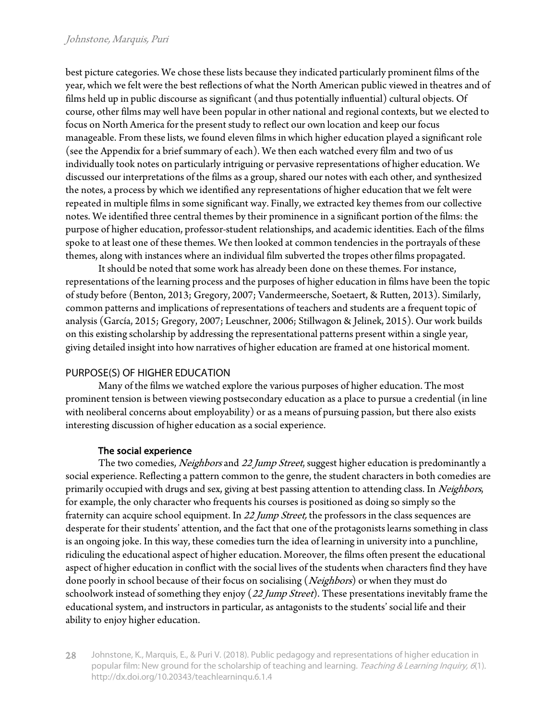best picture categories. We chose these lists because they indicated particularly prominent films of the year, which we felt were the best reflections of what the North American public viewed in theatres and of films held up in public discourse as significant (and thus potentially influential) cultural objects. Of course, other films may well have been popular in other national and regional contexts, but we elected to focus on North America for the present study to reflect our own location and keep our focus manageable. From these lists, we found eleven films in which higher education played a significant role (see the Appendix for a brief summary of each). We then each watched every film and two of us individually took notes on particularly intriguing or pervasive representations of higher education. We discussed our interpretations of the films as a group, shared our notes with each other, and synthesized the notes, a process by which we identified any representations of higher education that we felt were repeated in multiple films in some significant way. Finally, we extracted key themes from our collective notes. We identified three central themes by their prominence in a significant portion of the films: the purpose of higher education, professor-student relationships, and academic identities. Each of the films spoke to at least one of these themes. We then looked at common tendencies in the portrayals of these themes, along with instances where an individual film subverted the tropes other films propagated.

It should be noted that some work has already been done on these themes. For instance, representations of the learning process and the purposes of higher education in films have been the topic of study before (Benton, 2013; Gregory, 2007; Vandermeersche, Soetaert, & Rutten, 2013). Similarly, common patterns and implications of representations of teachers and students are a frequent topic of analysis (García, 2015; Gregory, 2007; Leuschner, 2006; Stillwagon & Jelinek, 2015). Our work builds on this existing scholarship by addressing the representational patterns present within a single year, giving detailed insight into how narratives of higher education are framed at one historical moment.

# PURPOSE(S) OF HIGHER EDUCATION

Many of the films we watched explore the various purposes of higher education. The most prominent tension is between viewing postsecondary education as a place to pursue a credential (in line with neoliberal concerns about employability) or as a means of pursuing passion, but there also exists interesting discussion of higher education as a social experience.

# The social experience

The two comedies, *Neighbors* and 22 Jump Street, suggest higher education is predominantly a social experience. Reflecting a pattern common to the genre, the student characters in both comedies are primarily occupied with drugs and sex, giving at best passing attention to attending class. In Neighbors, for example, the only character who frequents his courses is positioned as doing so simply so the fraternity can acquire school equipment. In 22 Jump Street, the professors in the class sequences are desperate for their students' attention, and the fact that one of the protagonists learns something in class is an ongoing joke. In this way, these comedies turn the idea of learning in university into a punchline, ridiculing the educational aspect of higher education. Moreover, the films often present the educational aspect of higher education in conflict with the social lives of the students when characters find they have done poorly in school because of their focus on socialising (Neighbors) or when they must do schoolwork instead of something they enjoy (22 Jump Street). These presentations inevitably frame the educational system, and instructors in particular, as antagonists to the students' social life and their ability to enjoy higher education.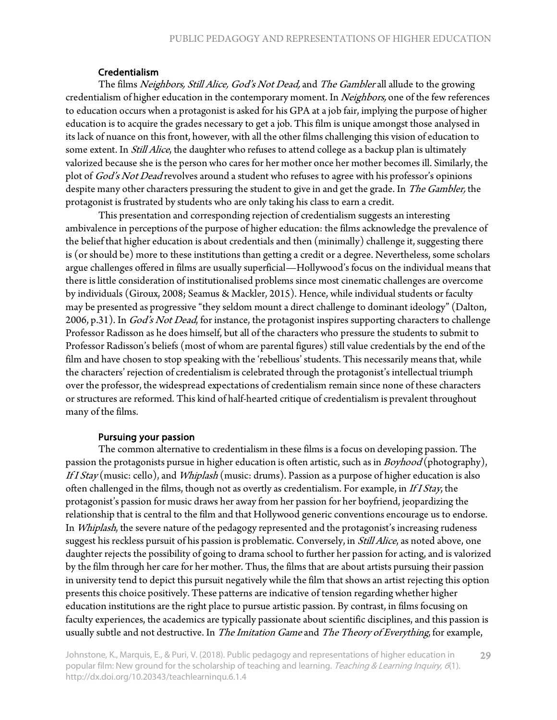## Credentialism

The films Neighbors, Still Alice, God's Not Dead, and The Gambler all allude to the growing credentialism of higher education in the contemporary moment. In Neighbors, one of the few references to education occurs when a protagonist is asked for his GPA at a job fair, implying the purpose of higher education is to acquire the grades necessary to get a job. This film is unique amongst those analysed in its lack of nuance on this front, however, with all the other films challenging this vision of education to some extent. In *Still Alice*, the daughter who refuses to attend college as a backup plan is ultimately valorized because she is the person who cares for her mother once her mother becomes ill. Similarly, the plot of God's Not Dead revolves around a student who refuses to agree with his professor's opinions despite many other characters pressuring the student to give in and get the grade. In The Gambler, the protagonist is frustrated by students who are only taking his class to earn a credit.

This presentation and corresponding rejection of credentialism suggests an interesting ambivalence in perceptions of the purpose of higher education: the films acknowledge the prevalence of the belief that higher education is about credentials and then (minimally) challenge it, suggesting there is (or should be) more to these institutions than getting a credit or a degree. Nevertheless, some scholars argue challenges offered in films are usually superficial—Hollywood's focus on the individual means that there is little consideration of institutionalised problems since most cinematic challenges are overcome by individuals (Giroux, 2008; Seamus & Mackler, 2015). Hence, while individual students or faculty may be presented as progressive "they seldom mount a direct challenge to dominant ideology" (Dalton, 2006, p.31). In God's Not Dead, for instance, the protagonist inspires supporting characters to challenge Professor Radisson as he does himself, but all of the characters who pressure the students to submit to Professor Radisson's beliefs (most of whom are parental figures) still value credentials by the end of the film and have chosen to stop speaking with the 'rebellious' students. This necessarily means that, while the characters' rejection of credentialism is celebrated through the protagonist's intellectual triumph over the professor, the widespread expectations of credentialism remain since none of these characters or structures are reformed. This kind of half-hearted critique of credentialism is prevalent throughout many of the films.

#### Pursuing your passion

The common alternative to credentialism in these films is a focus on developing passion. The passion the protagonists pursue in higher education is often artistic, such as in *Boyhood* (photography), If I Stay (music: cello), and Whiplash (music: drums). Passion as a purpose of higher education is also often challenged in the films, though not as overtly as credentialism. For example, in If I Stay, the protagonist's passion for music draws her away from her passion for her boyfriend, jeopardizing the relationship that is central to the film and that Hollywood generic conventions encourage us to endorse. In *Whiplash*, the severe nature of the pedagogy represented and the protagonist's increasing rudeness suggest his reckless pursuit of his passion is problematic. Conversely, in Still Alice, as noted above, one daughter rejects the possibility of going to drama school to further her passion for acting, and is valorized by the film through her care for her mother. Thus, the films that are about artists pursuing their passion in university tend to depict this pursuit negatively while the film that shows an artist rejecting this option presents this choice positively. These patterns are indicative of tension regarding whether higher education institutions are the right place to pursue artistic passion. By contrast, in films focusing on faculty experiences, the academics are typically passionate about scientific disciplines, and this passion is usually subtle and not destructive. In The Imitation Game and The Theory of Everything, for example,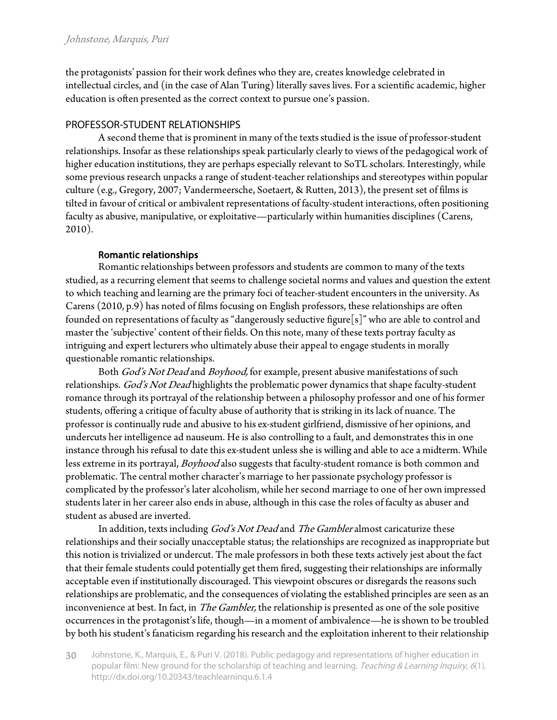the protagonists' passion for their work defines who they are, creates knowledge celebrated in intellectual circles, and (in the case of Alan Turing) literally saves lives. For a scientific academic, higher education is often presented as the correct context to pursue one's passion.

## PROFESSOR-STUDENT RELATIONSHIPS

A second theme that is prominent in many of the texts studied is the issue of professor-student relationships. Insofar as these relationships speak particularly clearly to views of the pedagogical work of higher education institutions, they are perhaps especially relevant to SoTL scholars. Interestingly, while some previous research unpacks a range of student-teacher relationships and stereotypes within popular culture (e.g., Gregory, 2007; Vandermeersche, Soetaert, & Rutten, 2013), the present set of films is tilted in favour of critical or ambivalent representations of faculty-student interactions, often positioning faculty as abusive, manipulative, or exploitative—particularly within humanities disciplines (Carens, 2010).

## Romantic relationships

Romantic relationships between professors and students are common to many of the texts studied, as a recurring element that seems to challenge societal norms and values and question the extent to which teaching and learning are the primary foci of teacher-student encounters in the university. As Carens (2010, p.9) has noted of films focusing on English professors, these relationships are often founded on representations of faculty as "dangerously seductive figure[s]" who are able to control and master the 'subjective' content of their fields. On this note, many of these texts portray faculty as intriguing and expert lecturers who ultimately abuse their appeal to engage students in morally questionable romantic relationships.

Both God's Not Dead and Boyhood, for example, present abusive manifestations of such relationships. God's Not Dead highlights the problematic power dynamics that shape faculty-student romance through its portrayal of the relationship between a philosophy professor and one of his former students, offering a critique of faculty abuse of authority that is striking in its lack of nuance. The professor is continually rude and abusive to his ex-student girlfriend, dismissive of her opinions, and undercuts her intelligence ad nauseum. He is also controlling to a fault, and demonstrates this in one instance through his refusal to date this ex-student unless she is willing and able to ace a midterm. While less extreme in its portrayal, Boyhood also suggests that faculty-student romance is both common and problematic. The central mother character's marriage to her passionate psychology professor is complicated by the professor's later alcoholism, while her second marriage to one of her own impressed students later in her career also ends in abuse, although in this case the roles of faculty as abuser and student as abused are inverted.

In addition, texts including God's Not Dead and The Gambler almost caricaturize these relationships and their socially unacceptable status; the relationships are recognized as inappropriate but this notion is trivialized or undercut. The male professors in both these texts actively jest about the fact that their female students could potentially get them fired, suggesting their relationships are informally acceptable even if institutionally discouraged. This viewpoint obscures or disregards the reasons such relationships are problematic, and the consequences of violating the established principles are seen as an inconvenience at best. In fact, in *The Gambler,* the relationship is presented as one of the sole positive occurrences in the protagonist's life, though—in a moment of ambivalence—he is shown to be troubled by both his student's fanaticism regarding his research and the exploitation inherent to their relationship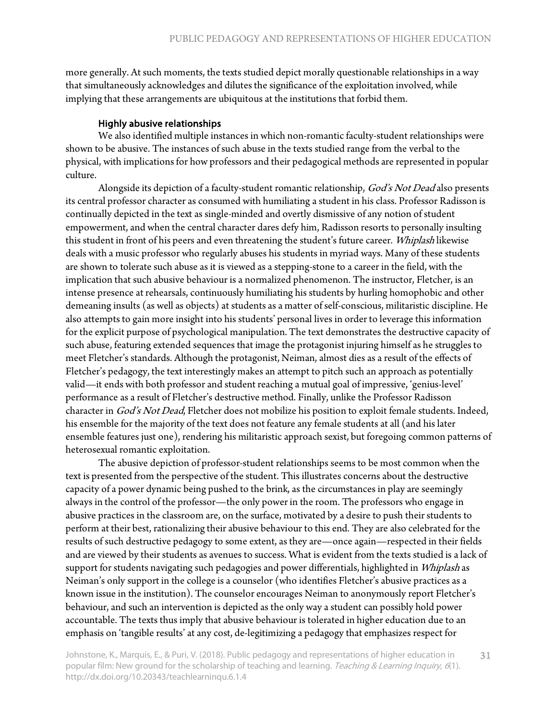more generally. At such moments, the texts studied depict morally questionable relationships in a way that simultaneously acknowledges and dilutes the significance of the exploitation involved, while implying that these arrangements are ubiquitous at the institutions that forbid them.

#### Highly abusive relationships

We also identified multiple instances in which non-romantic faculty-student relationships were shown to be abusive. The instances of such abuse in the texts studied range from the verbal to the physical, with implications for how professors and their pedagogical methods are represented in popular culture.

Alongside its depiction of a faculty-student romantic relationship, God's Not Dead also presents its central professor character as consumed with humiliating a student in his class. Professor Radisson is continually depicted in the text as single-minded and overtly dismissive of any notion of student empowerment, and when the central character dares defy him, Radisson resorts to personally insulting this student in front of his peers and even threatening the student's future career. Whiplash likewise deals with a music professor who regularly abuses his students in myriad ways. Many of these students are shown to tolerate such abuse as it is viewed as a stepping-stone to a career in the field, with the implication that such abusive behaviour is a normalized phenomenon. The instructor, Fletcher, is an intense presence at rehearsals, continuously humiliating his students by hurling homophobic and other demeaning insults (as well as objects) at students as a matter of self-conscious, militaristic discipline. He also attempts to gain more insight into his students' personal lives in order to leverage this information for the explicit purpose of psychological manipulation. The text demonstrates the destructive capacity of such abuse, featuring extended sequences that image the protagonist injuring himself as he struggles to meet Fletcher's standards. Although the protagonist, Neiman, almost dies as a result of the effects of Fletcher's pedagogy, the text interestingly makes an attempt to pitch such an approach as potentially valid—it ends with both professor and student reaching a mutual goal of impressive, 'genius-level' performance as a result of Fletcher's destructive method. Finally, unlike the Professor Radisson character in God's Not Dead, Fletcher does not mobilize his position to exploit female students. Indeed, his ensemble for the majority of the text does not feature any female students at all (and his later ensemble features just one), rendering his militaristic approach sexist, but foregoing common patterns of heterosexual romantic exploitation.

The abusive depiction of professor-student relationships seems to be most common when the text is presented from the perspective of the student. This illustrates concerns about the destructive capacity of a power dynamic being pushed to the brink, as the circumstances in play are seemingly always in the control of the professor—the only power in the room. The professors who engage in abusive practices in the classroom are, on the surface, motivated by a desire to push their students to perform at their best, rationalizing their abusive behaviour to this end. They are also celebrated for the results of such destructive pedagogy to some extent, as they are—once again—respected in their fields and are viewed by their students as avenues to success. What is evident from the texts studied is a lack of support for students navigating such pedagogies and power differentials, highlighted in Whiplash as Neiman's only support in the college is a counselor (who identifies Fletcher's abusive practices as a known issue in the institution). The counselor encourages Neiman to anonymously report Fletcher's behaviour, and such an intervention is depicted as the only way a student can possibly hold power accountable. The texts thus imply that abusive behaviour is tolerated in higher education due to an emphasis on 'tangible results' at any cost, de-legitimizing a pedagogy that emphasizes respect for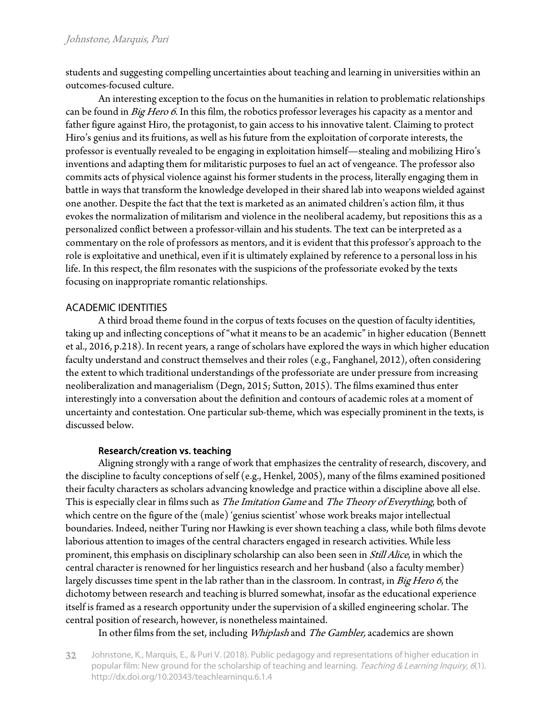students and suggesting compelling uncertainties about teaching and learning in universities within an outcomes-focused culture.

An interesting exception to the focus on the humanities in relation to problematic relationships can be found in Big Hero 6. In this film, the robotics professor leverages his capacity as a mentor and father figure against Hiro, the protagonist, to gain access to his innovative talent. Claiming to protect Hiro's genius and its fruitions, as well as his future from the exploitation of corporate interests, the professor is eventually revealed to be engaging in exploitation himself—stealing and mobilizing Hiro's inventions and adapting them for militaristic purposes to fuel an act of vengeance. The professor also commits acts of physical violence against his former students in the process, literally engaging them in battle in ways that transform the knowledge developed in their shared lab into weapons wielded against one another. Despite the fact that the text is marketed as an animated children's action film, it thus evokes the normalization of militarism and violence in the neoliberal academy, but repositions this as a personalized conflict between a professor-villain and his students. The text can be interpreted as a commentary on the role of professors as mentors, and it is evident that this professor's approach to the role is exploitative and unethical, even if it is ultimately explained by reference to a personal loss in his life. In this respect, the film resonates with the suspicions of the professoriate evoked by the texts focusing on inappropriate romantic relationships.

# ACADEMIC IDENTITIES

A third broad theme found in the corpus of texts focuses on the question of faculty identities, taking up and inflecting conceptions of "what it means to be an academic" in higher education (Bennett et al., 2016, p.218). In recent years, a range of scholars have explored the ways in which higher education faculty understand and construct themselves and their roles (e.g., Fanghanel, 2012), often considering the extent to which traditional understandings of the professoriate are under pressure from increasing neoliberalization and managerialism (Degn, 2015; Sutton, 2015). The films examined thus enter interestingly into a conversation about the definition and contours of academic roles at a moment of uncertainty and contestation. One particular sub-theme, which was especially prominent in the texts, is discussed below.

#### Research/creation vs. teaching

Aligning strongly with a range of work that emphasizes the centrality of research, discovery, and the discipline to faculty conceptions of self (e.g., Henkel, 2005), many of the films examined positioned their faculty characters as scholars advancing knowledge and practice within a discipline above all else. This is especially clear in films such as *The Imitation Game* and *The Theory of Everything*, both of which centre on the figure of the (male) 'genius scientist' whose work breaks major intellectual boundaries. Indeed, neither Turing nor Hawking is ever shown teaching a class, while both films devote laborious attention to images of the central characters engaged in research activities. While less prominent, this emphasis on disciplinary scholarship can also been seen in Still Alice, in which the central character is renowned for her linguistics research and her husband (also a faculty member) largely discusses time spent in the lab rather than in the classroom. In contrast, in Big Hero 6, the dichotomy between research and teaching is blurred somewhat, insofar as the educational experience itself is framed as a research opportunity under the supervision of a skilled engineering scholar. The central position of research, however, is nonetheless maintained.

In other films from the set, including *Whiplash* and *The Gambler*, academics are shown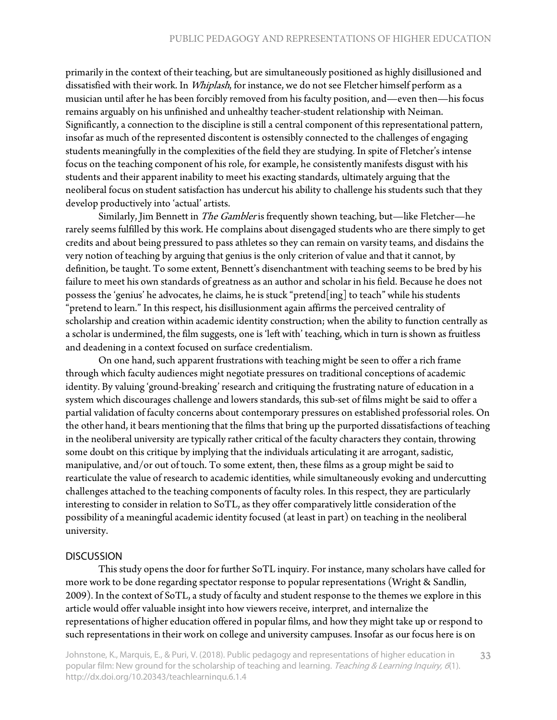primarily in the context of their teaching, but are simultaneously positioned as highly disillusioned and dissatisfied with their work. In Whiplash, for instance, we do not see Fletcher himself perform as a musician until after he has been forcibly removed from his faculty position, and—even then—his focus remains arguably on his unfinished and unhealthy teacher-student relationship with Neiman. Significantly, a connection to the discipline is still a central component of this representational pattern, insofar as much of the represented discontent is ostensibly connected to the challenges of engaging students meaningfully in the complexities of the field they are studying. In spite of Fletcher's intense focus on the teaching component of his role, for example, he consistently manifests disgust with his students and their apparent inability to meet his exacting standards, ultimately arguing that the neoliberal focus on student satisfaction has undercut his ability to challenge his students such that they develop productively into 'actual' artists.

Similarly, Jim Bennett in *The Gambler* is frequently shown teaching, but—like Fletcher—he rarely seems fulfilled by this work. He complains about disengaged students who are there simply to get credits and about being pressured to pass athletes so they can remain on varsity teams, and disdains the very notion of teaching by arguing that genius is the only criterion of value and that it cannot, by definition, be taught. To some extent, Bennett's disenchantment with teaching seems to be bred by his failure to meet his own standards of greatness as an author and scholar in his field. Because he does not possess the 'genius' he advocates, he claims, he is stuck "pretend[ing] to teach" while his students "pretend to learn." In this respect, his disillusionment again affirms the perceived centrality of scholarship and creation within academic identity construction; when the ability to function centrally as a scholar is undermined, the film suggests, one is 'left with' teaching, which in turn is shown as fruitless and deadening in a context focused on surface credentialism.

On one hand, such apparent frustrations with teaching might be seen to offer a rich frame through which faculty audiences might negotiate pressures on traditional conceptions of academic identity. By valuing 'ground-breaking' research and critiquing the frustrating nature of education in a system which discourages challenge and lowers standards, this sub-set of films might be said to offer a partial validation of faculty concerns about contemporary pressures on established professorial roles. On the other hand, it bears mentioning that the films that bring up the purported dissatisfactions of teaching in the neoliberal university are typically rather critical of the faculty characters they contain, throwing some doubt on this critique by implying that the individuals articulating it are arrogant, sadistic, manipulative, and/or out of touch. To some extent, then, these films as a group might be said to rearticulate the value of research to academic identities, while simultaneously evoking and undercutting challenges attached to the teaching components of faculty roles. In this respect, they are particularly interesting to consider in relation to SoTL, as they offer comparatively little consideration of the possibility of a meaningful academic identity focused (at least in part) on teaching in the neoliberal university.

#### **DISCUSSION**

This study opens the door for further SoTL inquiry. For instance, many scholars have called for more work to be done regarding spectator response to popular representations (Wright & Sandlin, 2009). In the context of SoTL, a study of faculty and student response to the themes we explore in this article would offer valuable insight into how viewers receive, interpret, and internalize the representations of higher education offered in popular films, and how they might take up or respond to such representations in their work on college and university campuses. Insofar as our focus here is on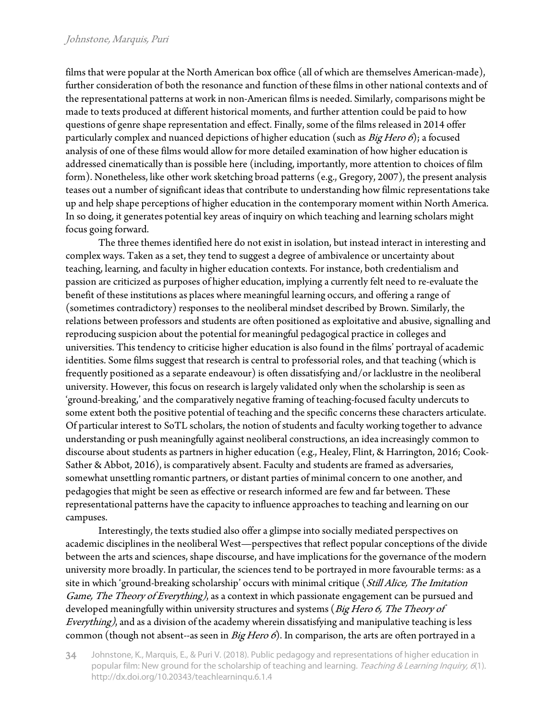#### Johnstone, Marquis, Puri

films that were popular at the North American box office (all of which are themselves American-made), further consideration of both the resonance and function of these films in other national contexts and of the representational patterns at work in non-American films is needed. Similarly, comparisons might be made to texts produced at different historical moments, and further attention could be paid to how questions of genre shape representation and effect. Finally, some of the films released in 2014 offer particularly complex and nuanced depictions of higher education (such as  $Big\$ analysis of one of these films would allow for more detailed examination of how higher education is addressed cinematically than is possible here (including, importantly, more attention to choices of film form). Nonetheless, like other work sketching broad patterns (e.g., Gregory, 2007), the present analysis teases out a number of significant ideas that contribute to understanding how filmic representations take up and help shape perceptions of higher education in the contemporary moment within North America. In so doing, it generates potential key areas of inquiry on which teaching and learning scholars might focus going forward.

The three themes identified here do not exist in isolation, but instead interact in interesting and complex ways. Taken as a set, they tend to suggest a degree of ambivalence or uncertainty about teaching, learning, and faculty in higher education contexts. For instance, both credentialism and passion are criticized as purposes of higher education, implying a currently felt need to re-evaluate the benefit of these institutions as places where meaningful learning occurs, and offering a range of (sometimes contradictory) responses to the neoliberal mindset described by Brown. Similarly, the relations between professors and students are often positioned as exploitative and abusive, signalling and reproducing suspicion about the potential for meaningful pedagogical practice in colleges and universities. This tendency to criticise higher education is also found in the films' portrayal of academic identities. Some films suggest that research is central to professorial roles, and that teaching (which is frequently positioned as a separate endeavour) is often dissatisfying and/or lacklustre in the neoliberal university. However, this focus on research is largely validated only when the scholarship is seen as 'ground-breaking,' and the comparatively negative framing of teaching-focused faculty undercuts to some extent both the positive potential of teaching and the specific concerns these characters articulate. Of particular interest to SoTL scholars, the notion of students and faculty working together to advance understanding or push meaningfully against neoliberal constructions, an idea increasingly common to discourse about students as partners in higher education (e.g., Healey, Flint, & Harrington, 2016; Cook-Sather & Abbot, 2016), is comparatively absent. Faculty and students are framed as adversaries, somewhat unsettling romantic partners, or distant parties of minimal concern to one another, and pedagogies that might be seen as effective or research informed are few and far between. These representational patterns have the capacity to influence approaches to teaching and learning on our campuses.

Interestingly, the texts studied also offer a glimpse into socially mediated perspectives on academic disciplines in the neoliberal West—perspectives that reflect popular conceptions of the divide between the arts and sciences, shape discourse, and have implications for the governance of the modern university more broadly. In particular, the sciences tend to be portrayed in more favourable terms: as a site in which 'ground-breaking scholarship' occurs with minimal critique (Still Alice, The Imitation Game, The Theory of Everything), as a context in which passionate engagement can be pursued and developed meaningfully within university structures and systems (Big Hero 6, The Theory of Everything), and as a division of the academy wherein dissatisfying and manipulative teaching is less common (though not absent--as seen in Big Hero 6). In comparison, the arts are often portrayed in a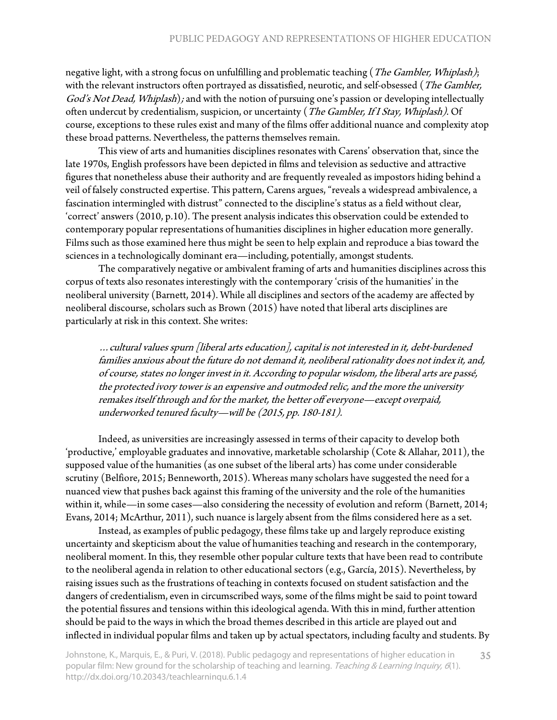negative light, with a strong focus on unfulfilling and problematic teaching (*The Gambler, Whiplash*); with the relevant instructors often portrayed as dissatisfied, neurotic, and self-obsessed (The Gambler, God's Not Dead, Whiplash); and with the notion of pursuing one's passion or developing intellectually often undercut by credentialism, suspicion, or uncertainty (The Gambler, If I Stay, Whiplash). Of course, exceptions to these rules exist and many of the films offer additional nuance and complexity atop these broad patterns. Nevertheless, the patterns themselves remain.

This view of arts and humanities disciplines resonates with Carens' observation that, since the late 1970s, English professors have been depicted in films and television as seductive and attractive figures that nonetheless abuse their authority and are frequently revealed as impostors hiding behind a veil of falsely constructed expertise. This pattern, Carens argues, "reveals a widespread ambivalence, a fascination intermingled with distrust" connected to the discipline's status as a field without clear, 'correct' answers (2010, p.10). The present analysis indicates this observation could be extended to contemporary popular representations of humanities disciplines in higher education more generally. Films such as those examined here thus might be seen to help explain and reproduce a bias toward the sciences in a technologically dominant era—including, potentially, amongst students.

The comparatively negative or ambivalent framing of arts and humanities disciplines across this corpus of texts also resonates interestingly with the contemporary 'crisis of the humanities' in the neoliberal university (Barnett, 2014). While all disciplines and sectors of the academy are affected by neoliberal discourse, scholars such as Brown (2015) have noted that liberal arts disciplines are particularly at risk in this context. She writes:

…cultural values spurn [liberal arts education], capital is not interested in it, debt-burdened families anxious about the future do not demand it, neoliberal rationality does not index it, and, of course, states no longer invest in it. According to popular wisdom, the liberal arts are passé, the protected ivory tower is an expensive and outmoded relic, and the more the university remakes itself through and for the market, the better off everyone—except overpaid, underworked tenured faculty—will be (2015, pp. 180-181).

Indeed, as universities are increasingly assessed in terms of their capacity to develop both 'productive,' employable graduates and innovative, marketable scholarship (Cote & Allahar, 2011), the supposed value of the humanities (as one subset of the liberal arts) has come under considerable scrutiny (Belfiore, 2015; Benneworth, 2015). Whereas many scholars have suggested the need for a nuanced view that pushes back against this framing of the university and the role of the humanities within it, while—in some cases—also considering the necessity of evolution and reform (Barnett, 2014; Evans, 2014; McArthur, 2011), such nuance is largely absent from the films considered here as a set.

Instead, as examples of public pedagogy, these films take up and largely reproduce existing uncertainty and skepticism about the value of humanities teaching and research in the contemporary, neoliberal moment. In this, they resemble other popular culture texts that have been read to contribute to the neoliberal agenda in relation to other educational sectors (e.g., García, 2015). Nevertheless, by raising issues such as the frustrations of teaching in contexts focused on student satisfaction and the dangers of credentialism, even in circumscribed ways, some of the films might be said to point toward the potential fissures and tensions within this ideological agenda. With this in mind, further attention should be paid to the ways in which the broad themes described in this article are played out and inflected in individual popular films and taken up by actual spectators, including faculty and students. By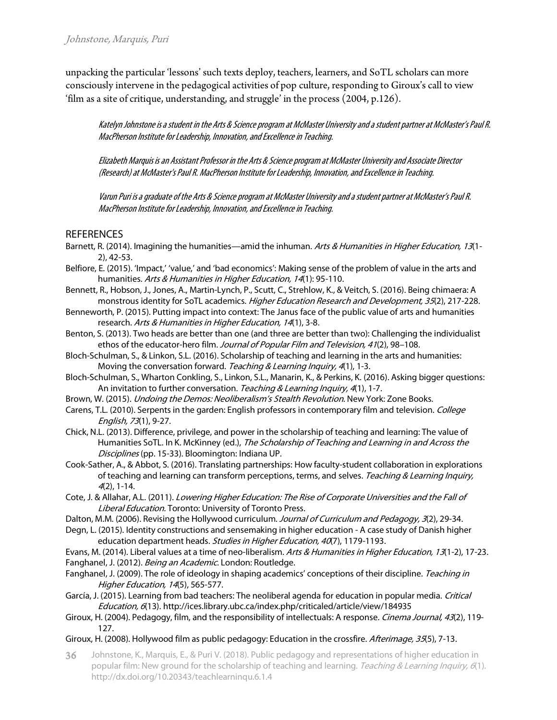unpacking the particular 'lessons' such texts deploy, teachers, learners, and SoTL scholars can more consciously intervene in the pedagogical activities of pop culture, responding to Giroux's call to view 'film as a site of critique, understanding, and struggle' in the process (2004, p.126).

Katelyn Johnstone is a student in the Arts & Science program at McMaster University and a student partner at McMaster's Paul R. MacPherson Institute for Leadership, Innovation, and Excellence in Teaching.

Elizabeth Marquis is an Assistant Professor in the Arts & Science program at McMaster University and Associate Director (Research) at McMaster's Paul R. MacPherson Institute for Leadership, Innovation, and Excellence in Teaching.

Varun Puri is a graduate of the Arts & Science program at McMaster University and a student partner at McMaster's Paul R. MacPherson Institute for Leadership, Innovation, and Excellence in Teaching.

## REFERENCES

- Barnett, R. (2014). Imagining the humanities—amid the inhuman. Arts & Humanities in Higher Education, 13(1-2), 42-53.
- Belfiore, E. (2015). 'Impact,' 'value,' and 'bad economics': Making sense of the problem of value in the arts and humanities. Arts & Humanities in Higher Education, 14(1): 95-110.
- Bennett, R., Hobson, J., Jones, A., Martin-Lynch, P., Scutt, C., Strehlow, K., & Veitch, S. (2016). Being chimaera: A monstrous identity for SoTL academics. Higher Education Research and Development, 35(2), 217-228.
- Benneworth, P. (2015). Putting impact into context: The Janus face of the public value of arts and humanities research. Arts & Humanities in Higher Education, 14(1), 3-8.
- Benton, S. (2013). Two heads are better than one (and three are better than two): Challenging the individualist ethos of the educator-hero film. Journal of Popular Film and Television, 41(2), 98-108.
- Bloch-Schulman, S., & Linkon, S.L. (2016). Scholarship of teaching and learning in the arts and humanities: Moving the conversation forward. Teaching & Learning Inquiry, 4(1), 1-3.
- Bloch-Schulman, S., Wharton Conkling, S., Linkon, S.L., Manarin, K., & Perkins, K. (2016). Asking bigger questions: An invitation to further conversation. Teaching & Learning Inquiry, 4(1), 1-7.
- Brown, W. (2015). Undoing the Demos: Neoliberalism's Stealth Revolution. New York: Zone Books.
- Carens, T.L. (2010). Serpents in the garden: English professors in contemporary film and television. College English, <sup>73</sup>(1), 9-27.
- Chick, N.L. (2013). Difference, privilege, and power in the scholarship of teaching and learning: The value of Humanities SoTL. In K. McKinney (ed.), The Scholarship of Teaching and Learning in and Across the Disciplines (pp. 15-33). Bloomington: Indiana UP.
- Cook-Sather, A., & Abbot, S. (2016). Translating partnerships: How faculty-student collaboration in explorations of teaching and learning can transform perceptions, terms, and selves. Teaching & Learning Inquiry, <sup>4</sup>(2), 1-14.
- Cote, J. & Allahar, A.L. (2011). Lowering Higher Education: The Rise of Corporate Universities and the Fall of Liberal Education. Toronto: University of Toronto Press.
- Dalton, M.M. (2006). Revising the Hollywood curriculum. Journal of Curriculum and Pedagogy, 3(2), 29-34.
- Degn, L. (2015). Identity constructions and sensemaking in higher education A case study of Danish higher education department heads. Studies in Higher Education, 40(7), 1179-1193.

Evans, M. (2014). Liberal values at a time of neo-liberalism. Arts & Humanities in Higher Education, 13(1-2), 17-23. Fanghanel, J. (2012). Being an Academic. London: Routledge.

- Fanghanel, J. (2009). The role of ideology in shaping academics' conceptions of their discipline. Teaching in Higher Education, 14(5), 565-577.
- García, J. (2015). Learning from bad teachers: The neoliberal agenda for education in popular media. Critical Education, 6(13). http://ices.library.ubc.ca/index.php/criticaled/article/view/184935
- Giroux, H. (2004). Pedagogy, film, and the responsibility of intellectuals: A response. Cinema Journal, 43(2), 119-127.
- Giroux, H. (2008). Hollywood film as public pedagogy: Education in the crossfire. Afterimage, 35(5), 7-13.
- Johnstone, K., Marquis, E., & Puri V. (2018). Public pedagogy and representations of higher education in popular film: New ground for the scholarship of teaching and learning. Teaching & Learning Inquiry, 6(1). http://dx.doi.org/10.20343/teachlearninqu.6.1.4 36